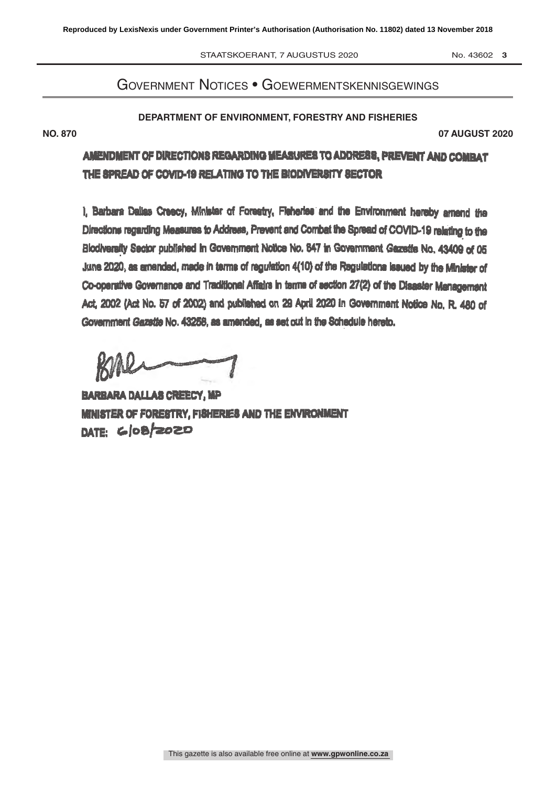STAATSKOERANT, 7 AUGUSTUS 2020 No. 43602 3

# Government Notices • Goewermentskennisgewings

### **DEPARTMENT OF ENVIRONMENT, FORESTRY AND FISHERIES**

AUGUST 2020 **NO. 870 07 AUGUST 2020**

AMENDMENT OF DIRECTIONS REGARDING MEASURES TO ADDRESS, PREVENT AND COMBAT THE SPREAD OF COVID-19 RELATING TO THE BIODIVERSITY SECTOR

I, Barbare Dallas Creecy, Minister of Forestry, Fisheries and the Environment hereby amend the Directions regarding Measures to Address, Prevent and Combat the Spread of COVID-19 relating to the Slodiveratly Sector published th Government Nolte No. 647 in Government Gazette No. 43409 of 05 June 2020, as amended, made in terms of regulation 4(10) of the Regulations issued by the Minister of Co-operative Governance and Traditional Affairs in terms of section 27(2) of the Disaster Management Act; 2002 (Act No. 57 of 2002) and published on 29 April 2020 in Government Notice No. R. 480 of Government Gazette No. 42259, as amended, as set out In the Schedule hereto.

BARL

BARBARA DALLAS CREECY, MP MINISTER OF FORESTRY, FISHERIES AND THE ENVIRONMENT DATE: 6/08/2020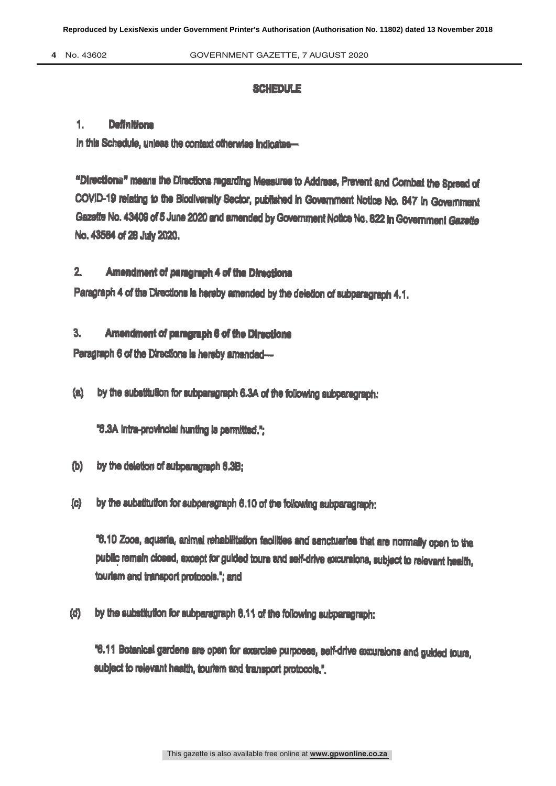### **SCHEDULE**

### 1. Definitions

In this Schedule, unless the context otherwise indicates-

"Directions" means the Directions regarding Measures to Address, Prevent and Combat the Spread of COVID-19 relating to the Biodiversity Sector, published in Government Notice No. 647 in Government Gazette No. 43409 of 5 June 2020 and amended by Government Notice No. 822 in Government Gazette No. 43664 of 28 July 2020.

# 2. Amendment of paregreph 4 of the Directions

Paragraph 4 of the Directions Is hereby amended by the deletion of subparagraph 4.1.

# 3. Amendment of paragraph 6 of the Direction

Paragraph 6 of the Directions is hereby amended-

(a) by the substitution for subparagraph 6.3A of the following subparagraph:

"6.3A intra-provincial hunting is permitted,";

- (b) by the deletion of subparagraph 6.3B;
- (c) by the substitution for subparagraph 6.10 of the following subparagraph:

'6.10 Zoos, aquaria, animal rehabilitation facilities and sanctuaries that are normally open to the public remain closed, except for guided tours and self-drive excursions, subject to relevant health, tourism and transport protocole.'; and

(d) by the substitution for eubparagraph 6.11 of the following subparagraph:

'6.11 Botanical gardens are open for exercise purposes, self -drive excursions and guided tours, subject to relevant health, tourism and transport protocols.".